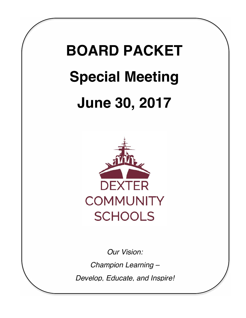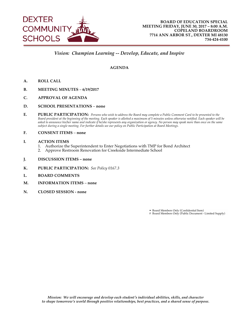

# *Vision: Champion Learning -- Develop, Educate, and Inspire*

#### **AGENDA**

- **A. ROLL CALL**
- **B. MEETING MINUTES 6/19/2017**
- **C. APPROVAL OF AGENDA**
- **D. SCHOOL PRESENTATIONS none**
- **E. PUBLIC PARTICIPATION:** *Persons who wish to address the Board may complete a Public Comment Card to be presented to the Board president at the beginning of the meeting. Each speaker is allotted a maximum of 5 minutes unless otherwise notified. Each speaker will be asked to announce his/her name and indicate if he/she represents any organization or agency. No person may speak more than once on the same subject during a single meeting. For further details see our policy on Public Participation at Board Meetings.*
- **F. CONSENT ITEMS none**
- **I. ACTION ITEMS**
	- 1. Authorize the Superintendent to Enter Negotiations with TMP for Bond Architect 2. Approve Restroom Renovation for Creekside Intermediate School
	- 2. Approve Restroom Renovation for Creekside Intermediate School
- **J. DISCUSSION ITEMS none**
- **K. PUBLIC PARTICIPATION:** *See Policy 0167.3*
- **L. BOARD COMMENTS**
- **M. INFORMATION ITEMS none**
- **N. CLOSED SESSION none**

• Board Members Only (Confidential Item) # Board Members Only (Public Document - Limited Supply)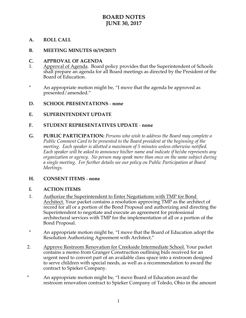# **BOARD NOTES JUNE 30, 2017**

# **A. ROLL CALL**

#### **B. MEETING MINUTES (6/19/2017)**

#### **C. APPROVAL OF AGENDA**

- 1. Approval of Agenda. Board policy provides that the Superintendent of Schools shall prepare an agenda for all Board meetings as directed by the President of the Board of Education.
- \* An appropriate motion might be, "I move that the agenda be approved as presented/amended."

### **D. SCHOOL PRESENTATIONS** - **none**

### **E. SUPERINTENDENT UPDATE**

### **F. STUDENT REPRESENTATIVES UPDATE** - **none**

**G. PUBLIC PARTICIPATION:** *Persons who wish to address the Board may complete a Public Comment Card to be presented to the Board president at the beginning of the meeting. Each speaker is allotted a maximum of 5 minutes unless otherwise notified. Each speaker will be asked to announce his/her name and indicate if he/she represents any organization or agency. No person may speak more than once on the same subject during a single meeting. For further details see our policy on Public Participation at Board Meetings.*

#### **H. CONSENT ITEMS** - **none**

#### **I. ACTION ITEMS**

- 1. Authorize the Superintendent to Enter Negotiations with TMP for Bond Architect. Your packet contains a resolution approving TMP as the architect of record for all or a portion of the Bond Proposal and authorizing and directing the Superintendent to negotiate and execute an agreement for professional architectural services with TMP for the implementation of all or a portion of the Bond Proposal.
- \* An appropriate motion might be, "I move that the Board of Education adopt the Resolution Authorizing Agreement with Architect."
- 2. Approve Restroom Renovation for Creekside Intermediate School. Your packet contains a memo from Granger Construction outlining bids received for an urgent need to convert part of an available class space into a restroom designed to serve children with special needs, as well as a recommendation to award the contract to Spieker Company.
- \* An appropriate motion might be, "I move Board of Education award the restroom renovation contract to Spieker Company of Toledo, Ohio in the amount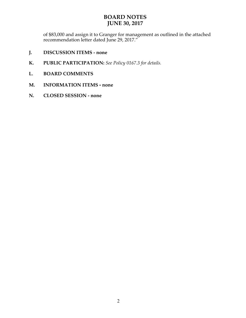# **BOARD NOTES JUNE 30, 2017**

of \$83,000 and assign it to Granger for management as outlined in the attached recommendation letter dated June 29, 2017."

- **J. DISCUSSION ITEMS none**
- **K. PUBLIC PARTICIPATION:** *See Policy 0167.3 for details.*
- **L. BOARD COMMENTS**
- **M. INFORMATION ITEMS - none**
- **N. CLOSED SESSION none**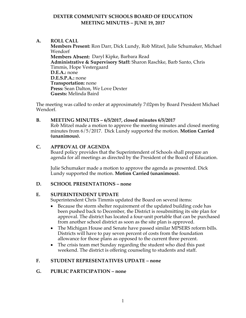# **DEXTER COMMUNITY SCHOOLS BOARD OF EDUCATION MEETING MINUTES – JUNE 19, 2017**

## **A. ROLL CALL**

**Members Present:** Ron Darr, Dick Lundy, Rob Mitzel, Julie Schumaker, Michael Wendorf **Members Absent:** Daryl Kipke, Barbara Read **Administrative & Supervisory Staff:** Sharon Raschke, Barb Santo, Chris Timmis, Hope Vestergaard **D.E.A.:** none **D.E.S.P.A.:** none **Transportation:** none **Press:** Sean Dalton, We Love Dexter **Guests:** Melinda Baird

The meeting was called to order at approximately 7:02pm by Board President Michael Wendorf.

#### **B. MEETING MINUTES – 6/5/2017, closed minutes 6/5/2017**

Rob Mitzel made a motion to approve the meeting minutes and closed meeting minutes from 6/5/2017. Dick Lundy supported the motion. **Motion Carried (unanimous).**

### **C. APPROVAL OF AGENDA**

Board policy provides that the Superintendent of Schools shall prepare an agenda for all meetings as directed by the President of the Board of Education.

Julie Schumaker made a motion to approve the agenda as presented. Dick Lundy supported the motion. **Motion Carried (unanimous).**

# **D. SCHOOL PRESENTATIONS – none**

#### **E. SUPERINTENDENT UPDATE**

Superintendent Chris Timmis updated the Board on several items:

- Because the storm shelter requirement of the updated building code has been pushed back to December, the District is resubmitting its site plan for approval. The district has located a four-unit portable that can be purchased from another school district as soon as the site plan is approved.
- The Michigan House and Senate have passed similar MPSERS reform bills. Districts will have to pay seven percent of costs from the foundation allowance for those plans as opposed to the current three percent.
- The crisis team met Sunday regarding the student who died this past weekend. The district is offering counseling to students and staff.

# **F. STUDENT REPRESENTATIVES UPDATE – none**

# **G. PUBLIC PARTICIPATION – none**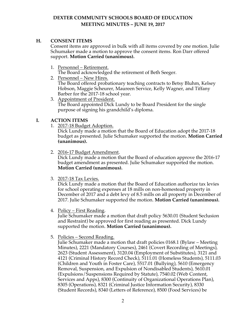# **DEXTER COMMUNITY SCHOOLS BOARD OF EDUCATION MEETING MINUTES – JUNE 19, 2017**

# **H. CONSENT ITEMS**

Consent items are approved in bulk with all items covered by one motion. Julie Schumaker made a motion to approve the consent items. Ron Darr offered support. **Motion Carried (unanimous).**

1. Personnel – Retirement.

The Board acknowledged the retirement of Beth Seeger.

- 2. Personnel New Hires. The Board offered probationary teaching contracts to Betsy Bluhm, Kelsey Hobson, Maggie Scheurer, Maureen Service, Kelly Wagner, and Tiffany Barber for the 2017-18 school year.
- 3. Appointment of President. The Board appointed Dick Lundy to be Board President for the single purpose of signing his grandchild's diploma.

# **I. ACTION ITEMS**

1. 2017-18 Budget Adoption.

Dick Lundy made a motion that the Board of Education adopt the 2017-18 budget as presented. Julie Schumaker supported the motion. **Motion Carried (unanimous).**

2. 2016-17 Budget Amendment.

Dick Lundy made a motion that the Board of education approve the 2016-17 budget amendment as presented. Julie Schumaker supported the motion. **Motion Carried (unanimous).**

3. 2017-18 Tax Levies.

Dick Lundy made a motion that the Board of Education authorize tax levies for school operating expenses at 18 mills on non-homestead property in December of 2017 and a debt levy of 8.5 mills on all property in December of 2017. Julie Schumaker supported the motion. **Motion Carried (unanimous).**

4. Policy – First Reading.

Julie Schumaker made a motion that draft policy 5630.01 (Student Seclusion and Restraint) be approved for first reading as presented. Dick Lundy supported the motion. **Motion Carried (unanimous).**

5. Policies – Second Reading.

Julie Schumaker made a motion that draft policies 0168.1 (Bylaw – Meeting Minutes), 2221 (Mandatory Courses), 2461 (Covert Recording of Meetings), 2623 (Student Assessment), 3120.04 (Employment of Substitutes), 3121 and 4121 (Criminal History Record Check), 5111.01 (Homeless Students), 5111.03 (Children and Youth in Foster Care), 5517.01 (Bullying), 5610 (Emergency Removal, Suspension, and Expulsion of Nondisabled Students), 5610.01 (Expulsions/Suspensions Required by Statute), 7540.02 (Web Content, Services and Apps), 8300 (Continuity of Organizational Operations Plan), 8305 (Operations), 8321 (Criminal Justice Information Security), 8330 (Student Records), 8340 (Letters of Reference), 8500 (Food Services) be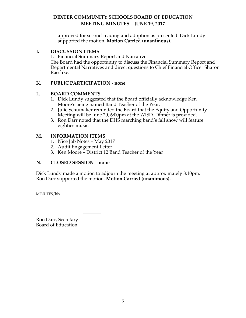# **DEXTER COMMUNITY SCHOOLS BOARD OF EDUCATION MEETING MINUTES – JUNE 19, 2017**

approved for second reading and adoption as presented. Dick Lundy supported the motion. **Motion Carried (unanimous).** 

# **J. DISCUSSION ITEMS**

1. Financial Summary Report and Narrative.

The Board had the opportunity to discuss the Financial Summary Report and Departmental Narratives and direct questions to Chief Financial Officer Sharon Raschke.

# **K. PUBLIC PARTICIPATION - none**

# **L. BOARD COMMENTS**

- 1. Dick Lundy suggested that the Board officially acknowledge Ken Moore's being named Band Teacher of the Year.
- 2. Julie Schumaker reminded the Board that the Equity and Opportunity Meeting will be June 20, 6:00pm at the WISD. Dinner is provided.
- 3. Ron Darr noted that the DHS marching band's fall show will feature eighties music.

# **M. INFORMATION ITEMS**

- 1. Nice Job Notes May 2017
- 2. Audit Engagement Letter
- 3. Ken Moore District 12 Band Teacher of the Year

# **N. CLOSED SESSION – none**

Dick Lundy made a motion to adjourn the meeting at approximately 8:10pm. Ron Darr supported the motion. **Motion Carried (unanimous).**

MINUTES/hlv

Ron Darr, Secretary Board of Education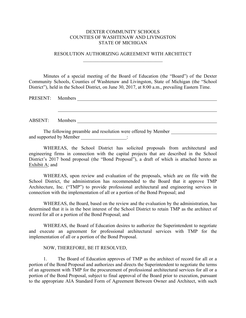#### DEXTER COMMUNITY SCHOOLS COUNTIES OF WASHTENAW AND LIVINGSTON STATE OF MICHIGAN

#### RESOLUTION AUTHORIZING AGREEMENT WITH ARCHITECT  $\mathcal{L}_\text{max}$  , where  $\mathcal{L}_\text{max}$  and  $\mathcal{L}_\text{max}$  and  $\mathcal{L}_\text{max}$

Minutes of a special meeting of the Board of Education (the "Board") of the Dexter Community Schools, Counties of Washtenaw and Livingston, State of Michigan (the "School District"), held in the School District, on June 30, 2017, at 8:00 a.m., prevailing Eastern Time.

| PRESENT: Members |                                                              |
|------------------|--------------------------------------------------------------|
|                  |                                                              |
|                  |                                                              |
|                  |                                                              |
| ABSENT: Members  |                                                              |
|                  |                                                              |
|                  | The following preamble and resolution were offered by Member |

WHEREAS, the School District has solicited proposals from architectural and engineering firms in connection with the capital projects that are described in the School District's 2017 bond proposal (the "Bond Proposal"), a draft of which is attached hereto as Exhibit A; and

WHEREAS, upon review and evaluation of the proposals, which are on file with the School District, the administration has recommended to the Board that it approve TMP Architecture, Inc. ("TMP") to provide professional architectural and engineering services in connection with the implementation of all or a portion of the Bond Proposal; and

WHEREAS, the Board, based on the review and the evaluation by the administration, has determined that it is in the best interest of the School District to retain TMP as the architect of record for all or a portion of the Bond Proposal; and

WHEREAS, the Board of Education desires to authorize the Superintendent to negotiate and execute an agreement for professional architectural services with TMP for the implementation of all or a portion of the Bond Proposal.

#### NOW, THEREFORE, BE IT RESOLVED,

and supported by Member  $\qquad \qquad$ :

1. The Board of Education approves of TMP as the architect of record for all or a portion of the Bond Proposal and authorizes and directs the Superintendent to negotiate the terms of an agreement with TMP for the procurement of professional architectural services for all or a portion of the Bond Proposal, subject to final approval of the Board prior to execution, pursuant to the appropriate AIA Standard Form of Agreement Between Owner and Architect, with such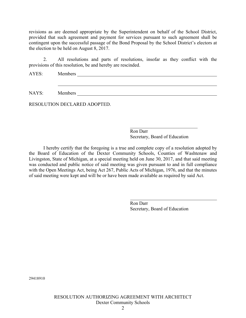revisions as are deemed appropriate by the Superintendent on behalf of the School District, provided that such agreement and payment for services pursuant to such agreement shall be contingent upon the successful passage of the Bond Proposal by the School District's electors at the election to be held on August 8, 2017.

2. All resolutions and parts of resolutions, insofar as they conflict with the provisions of this resolution, be and hereby are rescinded.

AYES: Members

NAYS: Members

RESOLUTION DECLARED ADOPTED.

Ron Darr Secretary, Board of Education

 $\mathcal{L}_\text{max}$  , where  $\mathcal{L}_\text{max}$  , we have the set of the set of the set of the set of the set of the set of the set of the set of the set of the set of the set of the set of the set of the set of the set of the set of

I hereby certify that the foregoing is a true and complete copy of a resolution adopted by the Board of Education of the Dexter Community Schools, Counties of Washtenaw and Livingston, State of Michigan, at a special meeting held on June 30, 2017, and that said meeting was conducted and public notice of said meeting was given pursuant to and in full compliance with the Open Meetings Act, being Act 267, Public Acts of Michigan, 1976, and that the minutes of said meeting were kept and will be or have been made available as required by said Act.

> Ron Darr Secretary, Board of Education

29418910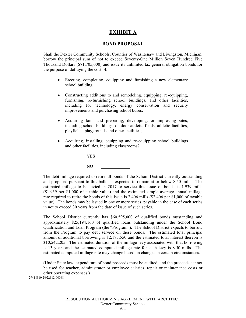# **EXHIBIT A**

#### **BOND PROPOSAL**

Shall the Dexter Community Schools, Counties of Washtenaw and Livingston, Michigan, borrow the principal sum of not to exceed Seventy-One Million Seven Hundred Five Thousand Dollars (\$71,705,000) and issue its unlimited tax general obligation bonds for the purpose of defraying the cost of:

- Erecting, completing, equipping and furnishing a new elementary school building;
- Constructing additions to and remodeling, equipping, re-equipping, furnishing, re-furnishing school buildings, and other facilities, including for technology, energy conservation and security improvements and purchasing school buses;
- Acquiring land and preparing, developing, or improving sites, including school buildings, outdoor athletic fields, athletic facilities, playfields, playgrounds and other facilities;
- Acquiring, installing, equipping and re-equipping school buildings and other facilities, including classrooms?

| <b>YES</b> |  |
|------------|--|
| NO         |  |

The debt millage required to retire all bonds of the School District currently outstanding and proposed pursuant to this ballot is expected to remain at or below 8.50 mills. The estimated millage to be levied in 2017 to service this issue of bonds is 1.939 mills (\$1.939 per \$1,000 of taxable value) and the estimated simple average annual millage rate required to retire the bonds of this issue is 2.406 mills (\$2.406 per \$1,000 of taxable value). The bonds may be issued in one or more series, payable in the case of each series in not to exceed 30 years from the date of issue of such series.

The School District currently has \$60,595,000 of qualified bonds outstanding and approximately \$25,194,160 of qualified loans outstanding under the School Bond Qualification and Loan Program (the "Program"). The School District expects to borrow from the Program to pay debt service on these bonds. The estimated total principal amount of additional borrowing is \$2,175,550 and the estimated total interest thereon is \$10,542,205. The estimated duration of the millage levy associated with that borrowing is 13 years and the estimated computed millage rate for such levy is 8.50 mills. The estimated computed millage rate may change based on changes in certain circumstances.

(Under State law, expenditure of bond proceeds must be audited, and the proceeds cannot be used for teacher, administrator or employee salaries, repair or maintenance costs or other operating expenses.)

29418910.2\022912-00048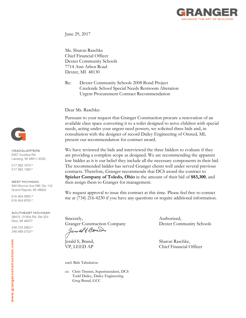

June 29, 2017

Ms. Sharon Raschke Chief Financial Officer Dexter Community Schools 7714 Ann Arbor Road Dexter, MI 48130

Re: Dexter Community Schools 2008 Bond Project Creekside School Special Needs Restroom Alteration Urgent Procurement Contract Recommendation

#### Dear Ms. Raschke:

Pursuant to your request that Granger Construction procure a renovation of an available class space converting it to a toilet designed to serve children with special needs, acting under your urgent need powers, we solicited three bids and, in consultation with the designer of record Dailey Engineering of Onsted, MI, present our recommendation for contract award.

We have reviewed the bids and interviewed the three bidders to evaluate if they are providing a complete scope as designed. We are recommending the apparent low bidder as it is our belief they include all the necessary components in their bid. The recommended bidder has served Granger clients well under several previous contracts. Therefore, Granger recommends that DCS award the contract to **Spieker Company of Toledo, Ohio** in the amount of their bid of **\$83,300**, and then assign them to Granger for management.

We request approval to issue this contract at this time. Please feel free to contact me at (734) 216-4230 if you have any questions or require additional information.

Sincerely, Authorized, Granger Construction Company Dexter Community Schools<br>Jernald Ban

Jerald S, Brand, Sharon Raschke,

encl: Bids Tabulation

cc: Chris Timmis, Superintendent, DCS Todd Dailey, Dailey Engineering Greg Brand, GCC

VP, LEED AP Chief Financial Officer



#### **HEADQUARTERS** 6267 Aurelius Rd Lansing, MI 48911-4230

517.393.1670P 517.393.1382F

**WEST MICHIGAN** 940 Monroe Ave NW, Ste 142 Grand Rapids, MI 49503

616.454.2900 P 616.454.9700F

SOUTHEAST MICHIGAN 39475 13 Mile Rd, Ste 204 Novi, MI 48377

248.724.2950P 248.489.5753F